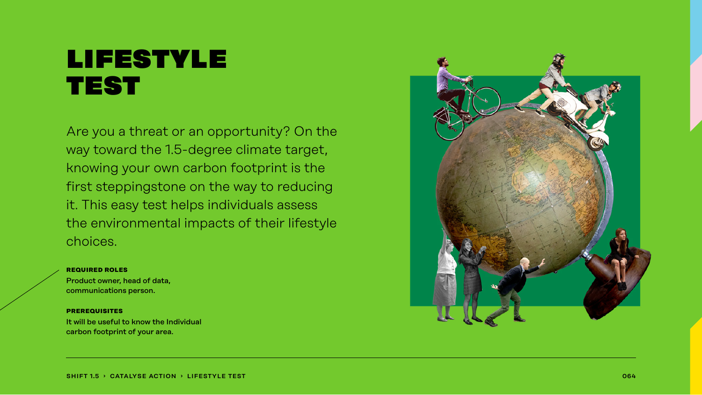## lifestyle **TEST**

Are you a threat or an opportunity? On the way toward the 1.5-degree climate target, knowing your own carbon footprint is the first steppingstone on the way to reducing it. This easy test helps individuals assess the environmental impacts of their lifestyle choices.

#### **required roles**

Product owner, head of data, communications person.

#### **prerequisites**

It will be useful to know the Individual carbon footprint of your area.

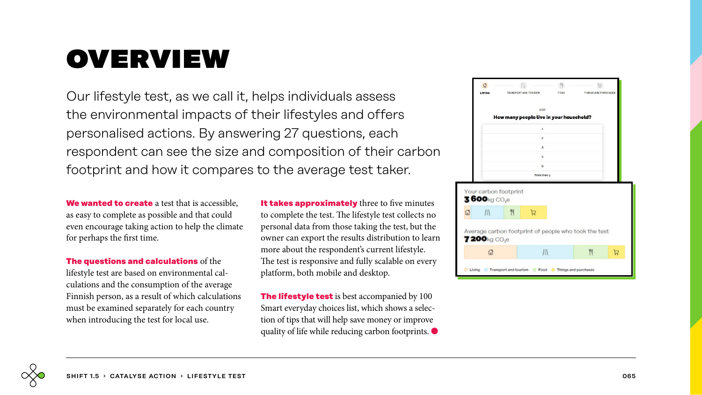# overview

Our lifestyle test, as we call it, helps individuals assess the environmental impacts of their lifestyles and offers personalised actions. By answering 27 questions, each respondent can see the size and composition of their carbon footprint and how it compares to the average test taker.

**We wanted to create** a test that is accessible, as easy to complete as possible and that could even encourage taking action to help the climate for perhaps the first time.

**The questions and calculations** of the lifestyle test are based on environmental calculations and the consumption of the average Finnish person, as a result of which calculations must be examined separately for each country when introducing the test for local use.

**It takes approximately** three to five minutes to complete the test. The lifestyle test collects no personal data from those taking the test, but the owner can export the results distribution to learn more about the respondent's current lifestyle. The test is responsive and fully scalable on every platform, both mobile and desktop.

**The lifestyle test** is best accompanied by 100 Smart everyday choices list, which shows a selection of tips that will help save money or improve quality of life while reducing carbon footprints. ●



Living C Transport and tourism C Food C Things and purchases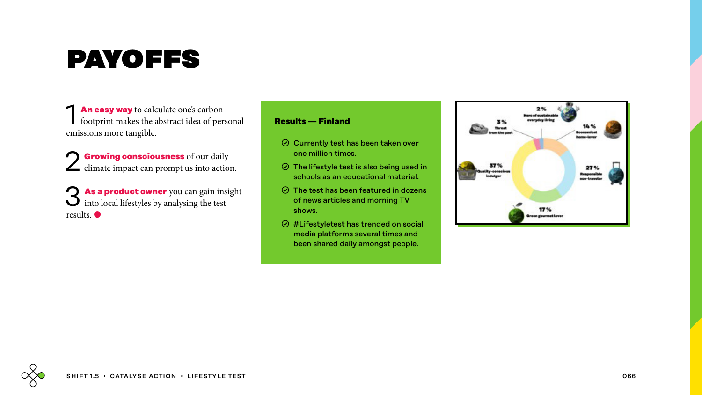# payoffs

**1 An easy way** to calculate one's carbon footprint makes the abstract idea of personal emissions more tangible.

2 **Growing consciousness** of our daily climate impact can prompt us into action.

**45 As a product owner** you can gain insight into local lifestyles by analysing the test results. ●

### **Results — Finland**

- $\odot$  Currently test has been taken over one million times.
- $\odot$  The lifestyle test is also being used in schools as an educational material.
- $\odot$  The test has been featured in dozens of news articles and morning TV shows.
- $\odot$  #Lifestyletest has trended on social media platforms several times and been shared daily amongst people.

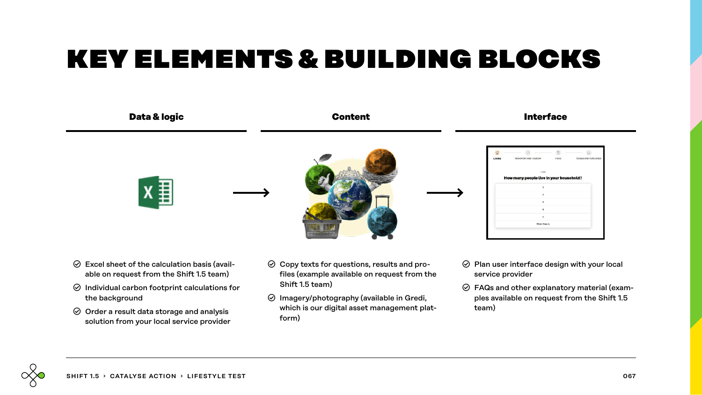# key elements & building blocks



- $\odot$  Excel sheet of the calculation basis (available on request from the Shift 1.5 team)
- $\odot$  Individual carbon footprint calculations for the background
- $\odot$  Order a result data storage and analysis solution from your local service provider
- $\odot$  Copy texts for questions, results and profiles (example available on request from the Shift 1.5 team)
- $\odot$  Imagery/photography (available in Gredi, which is our digital asset management platform)
- $\odot$  Plan user interface design with your local service provider
- $\odot$  FAQs and other explanatory material (examples available on request from the Shift 1.5 team)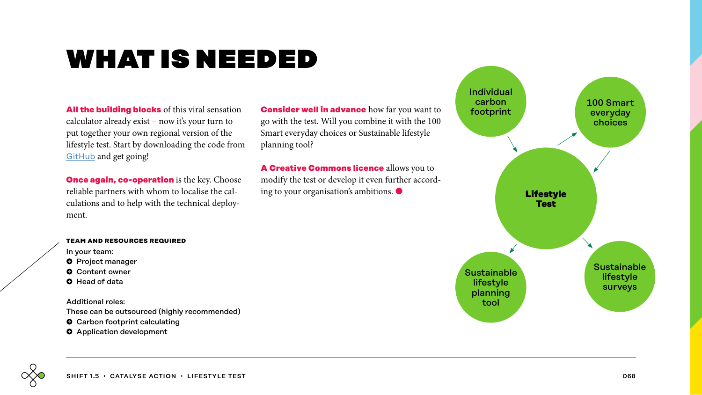# what is needed

**All the building blocks** of this viral sensation calculator already exist – now it's your turn to put together your own regional version of the lifestyle test. Start by downloading the code from [GitHub](https://github.com/sitrafund/lifestyletest) and get going!

**Once again, co-operation** is the key. Choose reliable partners with whom to localise the calculations and to help with the technical deployment.

**Consider well in advance** how far you want to go with the test. Will you combine it with the 100 Smart everyday choices or Sustainable lifestyle planning tool?

**[A Creative Commons licence](https://www.sitra.fi/en/articles/sitras-100-smart-ways-lifestyle-test-licences-terms-use/)** allows you to modify the test or develop it even further according to your organisation's ambitions. ●



#### **team and resources required**

In your team:

- **O** Project manager
- **O** Content owner
- � Head of data

Additional roles:

These can be outsourced (highly recommended)

- $\bullet$  Carbon footprint calculating
- $\bullet$  Application development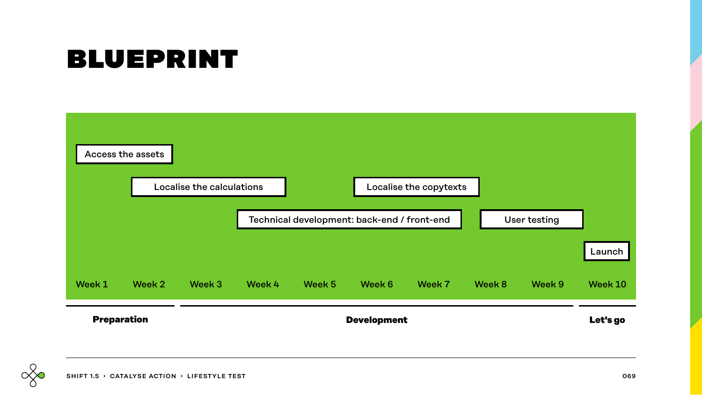# blueprint



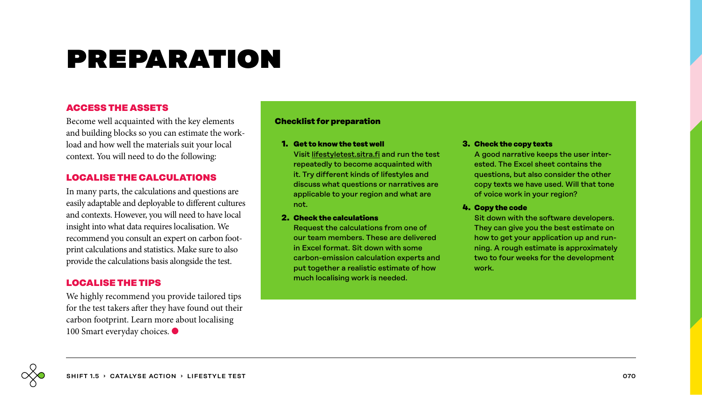# preparation

## **ACCESS THE ASSETS**

Become well acquainted with the key elements and building blocks so you can estimate the workload and how well the materials suit your local context. You will need to do the following:

## **LOCALISE THE CALCULATIONS**

In many parts, the calculations and questions are easily adaptable and deployable to different cultures and contexts. However, you will need to have local insight into what data requires localisation. We recommend you consult an expert on carbon footprint calculations and statistics. Make sure to also provide the calculations basis alongside the test.

## **LOCALISE THE TIPS**

We highly recommend you provide tailored tips for the test takers after they have found out their carbon footprint. Learn more about localising 100 Smart everyday choices. ●

### **Checklist for preparation**

#### **1. Get to know the test well**

Visit [lifestyletest.sitra.fi](http://lifestyletest.sitra.fi) and run the test repeatedly to become acquainted with it. Try different kinds of lifestyles and discuss what questions or narratives are applicable to your region and what are not.

### **2. Check the calculations**

Request the calculations from one of our team members. These are delivered in Excel format. Sit down with some carbon-emission calculation experts and put together a realistic estimate of how much localising work is needed.

#### **3. Check the copy texts**

A good narrative keeps the user interested. The Excel sheet contains the questions, but also consider the other copy texts we have used. Will that tone of voice work in your region?

### **4. Copy the code**

Sit down with the software developers. They can give you the best estimate on how to get your application up and running. A rough estimate is approximately two to four weeks for the development work.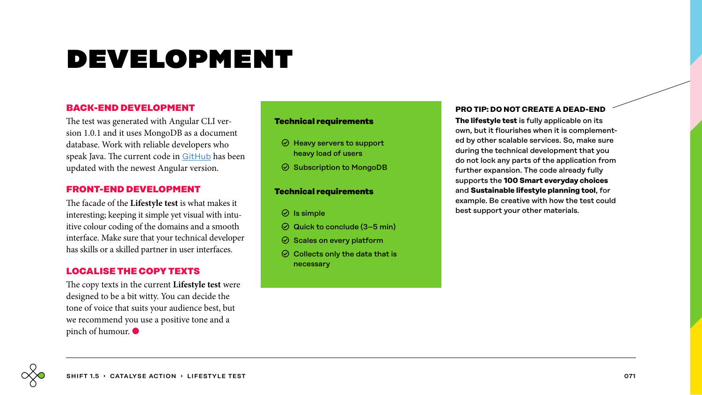# development

## **BACK-END DEVELOPMENT**

The test was generated with Angular CLI version 1.0.1 and it uses MongoDB as a document database. Work with reliable developers who speak Java. The current code in [GitHub](https://github.com/sitrafund/lifestyletest) has been updated with the newest Angular version.

## **FRONT-END DEVELOPMENT**

The facade of the **Lifestyle test** is what makes it interesting; keeping it simple yet visual with intuitive colour coding of the domains and a smooth interface. Make sure that your technical developer has skills or a skilled partner in user interfaces.

## **LOCALISE THE COPY TEXTS**

The copy texts in the current **Lifestyle test** were designed to be a bit witty. You can decide the tone of voice that suits your audience best, but we recommend you use a positive tone and a pinch of humour. ●

### **Technical requirements**

- $\odot$  Heavy servers to support heavy load of users
- $\odot$  Subscription to MongoDB

### **Technical requirements**

- $\odot$  Is simple
- $\odot$  Quick to conclude (3–5 min)
- $\odot$  Scales on every platform
- $\odot$  Collects only the data that is necessary

### **PRO TIP: DO NOT CREATE A DEAD-END**

**The lifestyle test** is fully applicable on its own, but it flourishes when it is complemented by other scalable services. So, make sure during the technical development that you do not lock any parts of the application from further expansion. The code already fully supports the **100 Smart everyday choices** and **Sustainable lifestyle planning tool**, for example. Be creative with how the test could best support your other materials.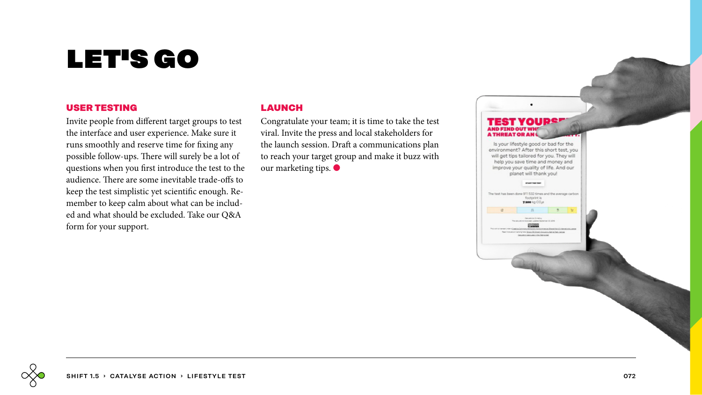# let's go

### **USER TESTING**

Invite people from different target groups to test the interface and user experience. Make sure it runs smoothly and reserve time for fixing any possible follow-ups. There will surely be a lot of questions when you first introduce the test to the audience. There are some inevitable trade-offs to keep the test simplistic yet scientific enough. Remember to keep calm about what can be included and what should be excluded. Take our Q&A form for your support.

## **LAUNCH**

Congratulate your team; it is time to take the test viral. Invite the press and local stakeholders for the launch session. Draft a communications plan to reach your target group and make it buzz with our marketing tips.  $\bullet$